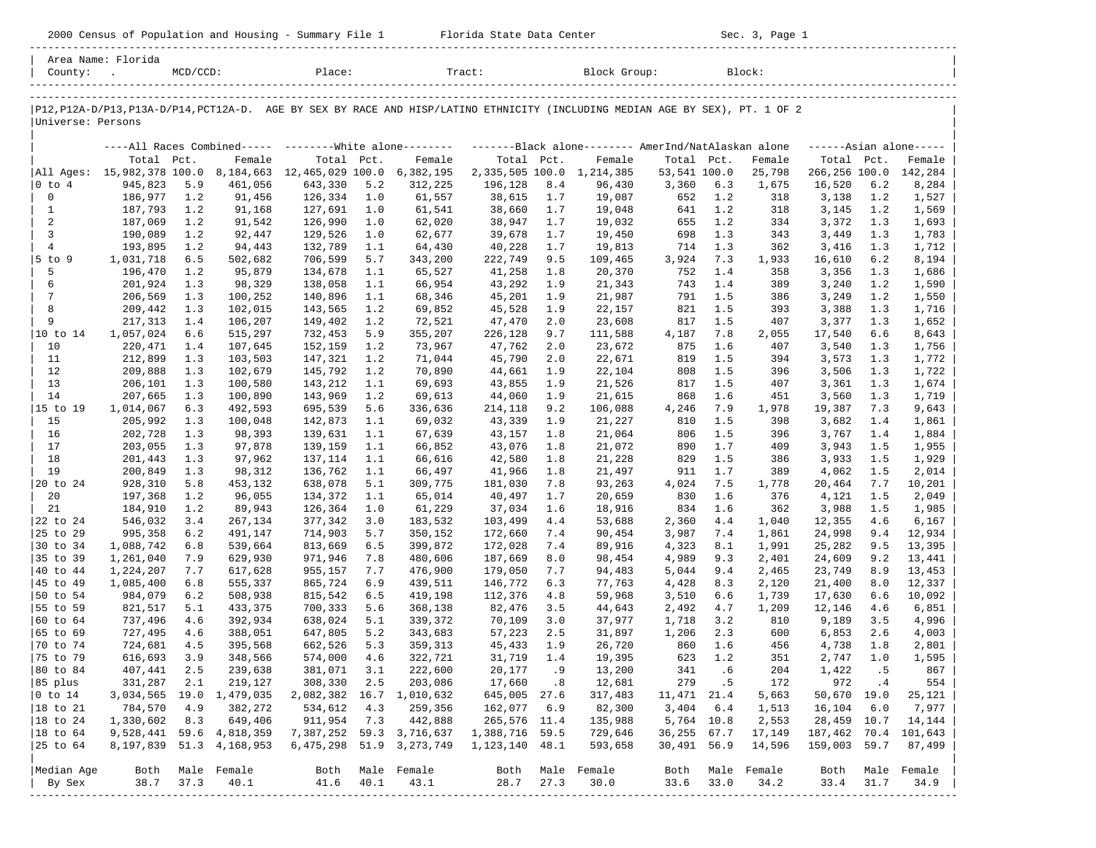2000 Census of Population and Housing - Summary File 1 Florida State Data Center Sec. 3, Page 1

|                                | Area Name: Florida         |             |                      |                                                           |              |                    |                           |              |                                                                                                                               |                      |              |                 |                   |              |                      |
|--------------------------------|----------------------------|-------------|----------------------|-----------------------------------------------------------|--------------|--------------------|---------------------------|--------------|-------------------------------------------------------------------------------------------------------------------------------|----------------------|--------------|-----------------|-------------------|--------------|----------------------|
| County:                        | $\sim 10$                  | $MCD/CCD$ : |                      | Place:                                                    |              |                    | Tract:                    |              | Block Group:                                                                                                                  |                      |              | Block:          |                   |              |                      |
|                                |                            |             |                      |                                                           |              |                    |                           |              |                                                                                                                               |                      |              |                 |                   |              |                      |
| Universe: Persons              |                            |             |                      |                                                           |              |                    |                           |              | P12, P12A-D/P13, P13A-D/P14, PCT12A-D. AGE BY SEX BY RACE AND HISP/LATINO ETHNICITY (INCLUDING MEDIAN AGE BY SEX), PT. 1 OF 2 |                      |              |                 |                   |              |                      |
|                                |                            |             |                      | ----All Races Combined----- --------- White alone-------- |              |                    |                           |              | -------Black alone-------- AmerInd/NatAlaskan alone                                                                           |                      |              |                 |                   |              | $----Asian alone---$ |
|                                | Total Pct.                 |             | Female               | Total Pct.                                                |              | Female             | Total Pct.                |              | Female                                                                                                                        | Total Pct.           |              | Female          | Total Pct.        |              | Female               |
|                                | All Ages: 15,982,378 100.0 |             | 8,184,663            | 12,465,029 100.0                                          |              | 6,382,195          |                           |              | 2, 335, 505 100.0 1, 214, 385                                                                                                 | 53,541 100.0         |              | 25,798          | 266,256 100.0     |              | 142,284              |
| $ 0 \t{to} 4$                  | 945,823                    | 5.9         | 461,056              | 643,330                                                   | 5.2          | 312,225            | 196,128                   | 8.4          | 96,430                                                                                                                        | 3,360                | 6.3          | 1,675           | 16,520            | 6.2          | 8,284                |
| 0                              | 186,977                    | 1.2         | 91,456               | 126,334                                                   | 1.0          | 61,557             | 38,615                    | 1.7          | 19,087                                                                                                                        | 652                  | 1.2          | 318             | 3,138             | 1.2          | 1,527                |
| $\mathbf{1}$                   | 187,793                    | 1.2         | 91,168               | 127,691                                                   | 1.0          | 61,541             | 38,660                    | 1.7          | 19,048                                                                                                                        | 641                  | 1.2          | 318             | 3,145             | 1.2          | 1,569                |
| 2                              | 187,069                    | 1.2         | 91,542               | 126,990                                                   | 1.0          | 62,020             | 38,947                    | 1.7          | 19,032                                                                                                                        | 655                  | 1.2          | 334             | 3,372             | 1.3          | 1,693                |
| 3                              | 190,089                    | 1.2         | 92,447               | 129,526                                                   | 1.0          | 62,677             | 39,678                    | 1.7          | 19,450                                                                                                                        | 698                  | 1.3          | 343             | 3,449             | 1.3          | 1,783                |
| 4<br>$5$ to $9$                | 193,895<br>1,031,718       | 1.2<br>6.5  | 94,443<br>502,682    | 132,789<br>706,599                                        | 1.1<br>5.7   | 64,430<br>343,200  | 40,228                    | 1.7          | 19,813<br>109,465                                                                                                             | 714                  | 1.3<br>7.3   | 362             | 3,416<br>16,610   | 1.3<br>6.2   | 1,712                |
| 5                              | 196,470                    | 1.2         | 95,879               | 134,678                                                   | 1.1          | 65,527             | 222,749<br>41,258         | 9.5<br>1.8   | 20,370                                                                                                                        | 3,924<br>752         | 1.4          | 1,933<br>358    | 3,356             | 1.3          | 8,194<br>1,686       |
| 6                              | 201,924                    | 1.3         | 98,329               | 138,058                                                   | 1.1          | 66,954             | 43,292                    | 1.9          | 21,343                                                                                                                        | 743                  | 1.4          | 389             | 3,240             | 1.2          | 1,590                |
| 7                              | 206,569                    | 1.3         | 100,252              | 140,896                                                   | 1.1          | 68,346             | 45,201                    | 1.9          | 21,987                                                                                                                        | 791                  | 1.5          | 386             | 3,249             | 1.2          | 1,550                |
| 8                              | 209,442                    | 1.3         | 102,015              | 143,565                                                   | 1.2          | 69,852             | 45,528                    | 1.9          | 22,157                                                                                                                        | 821                  | 1.5          | 393             | 3,388             | 1.3          | 1,716                |
| 9                              | 217,313                    | 1.4         | 106,207              | 149,402                                                   | 1.2          | 72,521             | 47,470                    | 2.0          | 23,608                                                                                                                        | 817                  | 1.5          | 407             | 3,377             | 1.3          | 1,652                |
| 10 to 14                       | 1,057,024                  | 6.6         | 515,297              | 732,453                                                   | 5.9          | 355,207            | 226,128                   | 9.7          | 111,588                                                                                                                       | 4,187                | 7.8          | 2,055           | 17,540            | 6.6          | 8,643                |
| 10                             | 220,471                    | 1.4         | 107,645              | 152,159                                                   | 1.2          | 73,967             | 47,762                    | 2.0          | 23,672                                                                                                                        | 875                  | 1.6          | 407             | 3,540             | 1.3          | 1,756                |
| 11                             | 212,899                    | 1.3         | 103,503              | 147,321                                                   | 1.2          | 71,044             | 45,790                    | 2.0          | 22,671                                                                                                                        | 819                  | 1.5          | 394             | 3,573             | 1.3          | 1,772                |
| 12                             | 209,888                    | 1.3         | 102,679              | 145,792                                                   | 1.2          | 70,890             | 44,661                    | 1.9          | 22,104                                                                                                                        | 808                  | 1.5          | 396             | 3,506             | 1.3          | 1,722                |
| 13                             | 206,101                    | 1.3         | 100,580              | 143,212                                                   | 1.1          | 69,693             | 43,855                    | 1.9          | 21,526                                                                                                                        | 817                  | 1.5          | 407             | 3,361             | 1.3          | 1,674                |
| 14                             | 207,665                    | 1.3         | 100,890              | 143,969                                                   | 1.2          | 69,613             | 44,060                    | 1.9          | 21,615                                                                                                                        | 868                  | 1.6          | 451             | 3,560             | 1.3          | 1,719                |
| 15 to 19                       | 1,014,067<br>205,992       | 6.3         | 492,593              | 695,539                                                   | 5.6          | 336,636            | 214,118                   | 9.2          | 106,088                                                                                                                       | 4,246                | 7.9<br>1.5   | 1,978           | 19,387            | 7.3          | 9,643                |
| 15<br>16                       | 202,728                    | 1.3<br>1.3  | 100,048<br>98,393    | 142,873<br>139,631                                        | 1.1<br>1.1   | 69,032<br>67,639   | 43,339<br>43,157          | 1.9<br>1.8   | 21,227<br>21,064                                                                                                              | 810<br>806           | 1.5          | 398<br>396      | 3,682<br>3,767    | 1.4<br>1.4   | 1,861<br>1,884       |
| 17                             | 203,055                    | 1.3         | 97,878               | 139,159                                                   | 1.1          | 66,852             | 43,076                    | 1.8          | 21,072                                                                                                                        | 890                  | 1.7          | 409             | 3,943             | 1.5          | 1,955                |
| 18                             | 201,443                    | 1.3         | 97,962               | 137,114                                                   | 1.1          | 66,616             | 42,580                    | 1.8          | 21,228                                                                                                                        | 829                  | 1.5          | 386             | 3,933             | 1.5          | 1,929                |
| 19                             | 200,849                    | 1.3         | 98,312               | 136,762                                                   | 1.1          | 66,497             | 41,966                    | 1.8          | 21,497                                                                                                                        | 911                  | 1.7          | 389             | 4,062             | 1.5          | 2,014                |
| 20 to 24                       | 928,310                    | 5.8         | 453,132              | 638,078                                                   | 5.1          | 309,775            | 181,030                   | 7.8          | 93,263                                                                                                                        | 4,024                | 7.5          | 1,778           | 20,464            | 7.7          | 10,201               |
| 20                             | 197,368                    | 1.2         | 96,055               | 134,372                                                   | 1.1          | 65,014             | 40,497                    | 1.7          | 20,659                                                                                                                        | 830                  | 1.6          | 376             | 4,121             | 1.5          | 2,049                |
| 21                             | 184,910                    | 1.2         | 89,943               | 126,364                                                   | 1.0          | 61,229             | 37,034                    | 1.6          | 18,916                                                                                                                        | 834                  | 1.6          | 362             | 3,988             | 1.5          | 1,985                |
| 22 to 24                       | 546,032                    | 3.4         | 267,134              | 377,342                                                   | 3.0          | 183,532            | 103,499                   | 4.4          | 53,688                                                                                                                        | 2,360                | 4.4          | 1,040           | 12,355            | 4.6          | 6,167                |
| 25 to 29                       | 995,358                    | 6.2         | 491,147              | 714,903                                                   | 5.7          | 350,152            | 172,660                   | 7.4          | 90,454                                                                                                                        | 3,987                | 7.4          | 1,861           | 24,998            | 9.4          | 12,934               |
| 30 to 34                       | 1,088,742                  | 6.8         | 539,664              | 813,669                                                   | 6.5          | 399,872            | 172,028                   | 7.4          | 89,916                                                                                                                        | 4,323                | 8.1          | 1,991           | 25,282            | 9.5          | 13,395               |
| 35 to 39                       | 1,261,040                  | 7.9         | 629,930              | 971,946                                                   | 7.8          | 480,606            | 187,669                   | 8.0          | 98,454                                                                                                                        | 4,989                | 9.3          | 2,401           | 24,609            | 9.2          | 13,441               |
| 40 to 44<br>45 to 49           | 1,224,207<br>1,085,400     | 7.7<br>6.8  | 617,628<br>555,337   | 955,157<br>865,724                                        | 7.7<br>6.9   | 476,900<br>439,511 | 179,050<br>146,772        | 7.7<br>6.3   | 94,483<br>77,763                                                                                                              | 5,044<br>4,428       | 9.4<br>8.3   | 2,465<br>2,120  | 23,749<br>21,400  | 8.9<br>8.0   | 13,453<br>12,337     |
| 50 to 54                       | 984,079                    | 6.2         | 508,938              | 815,542                                                   | 6.5          | 419,198            | 112,376                   | 4.8          | 59,968                                                                                                                        | 3,510                | 6.6          | 1,739           | 17,630            | 6.6          | 10,092               |
| 55 to 59                       | 821,517                    | 5.1         | 433,375              | 700,333                                                   | 5.6          | 368,138            | 82,476                    | 3.5          | 44,643                                                                                                                        | 2,492                | 4.7          | 1,209           | 12,146            | 4.6          | 6,851                |
| 60 to 64                       | 737,496                    | 4.6         | 392,934              | 638,024                                                   | 5.1          | 339,372            | 70,109                    | 3.0          | 37,977                                                                                                                        | 1,718                | 3.2          | 810             | 9,189             | 3.5          | 4,996                |
| 65 to 69                       | 727,495                    | 4.6         | 388,051              | 647,805                                                   | 5.2          | 343,683            | 57,223                    | 2.5          | 31,897                                                                                                                        | 1,206                | 2.3          | 600             | 6,853             | 2.6          | 4,003                |
| 70 to 74                       | 724,681                    | 4.5         | 395,568              | 662,526                                                   | 5.3          | 359,313            | 45,433                    | 1.9          | 26,720                                                                                                                        | 860                  | 1.6          | 456             | 4,738             | 1.8          | 2,801                |
| 75 to 79                       | 616,693                    | 3.9         | 348,566              | 574,000                                                   | 4.6          | 322,721            | 31,719                    | 1.4          | 19,395                                                                                                                        | 623                  | 1.2          | 351             | 2,747             | 1.0          | 1,595                |
| 80 to 84                       | 407,441                    | 2.5         | 239,638              | 381,071                                                   | 3.1          | 222,600            | 20,177                    | . 9          | 13,200                                                                                                                        | 341                  | .6           | 204             | 1,422             | . 5          | 867                  |
| 85 plus                        | 331,287                    | 2.1         | 219,127              | 308,330                                                   | 2.5          | 203,086            | 17,660                    | .8           | 12,681                                                                                                                        | 279                  | .5           | 172             | 972               | .4           | 554                  |
| $0$ to $14$                    | 3,034,565                  | 19.0        | 1,479,035            | 2,082,382                                                 | 16.7         | 1,010,632          | 645,005                   | 27.6         | 317,483                                                                                                                       | 11,471               | 21.4         | 5,663           | 50,670            | 19.0         | 25,121               |
| 18 to 21                       | 784,570                    | 4.9         | 382,272              | 534,612                                                   | 4.3          | 259,356<br>442,888 | 162,077                   | 6.9          | 82,300                                                                                                                        | 3,404                | 6.4          | 1,513           | 16,104            | 6.0          | 7,977                |
| $ 18$ to $24$<br>$ 18$ to $64$ | 1,330,602<br>9,528,441     | 8.3<br>59.6 | 649,406<br>4,818,359 | 911,954<br>7,387,252                                      | 7.3<br>59.3  | 3,716,637          | 265,576 11.4<br>1,388,716 | 59.5         | 135,988<br>729,646                                                                                                            | 5,764 10.8<br>36,255 | 67.7         | 2,553<br>17,149 | 28,459<br>187,462 | 10.7<br>70.4 | 14,144<br>101,643    |
| 25 to 64                       | 8,197,839                  | 51.3        | 4,168,953            | 6,475,298                                                 | 51.9         | 3,273,749          | 1,123,140                 | 48.1         | 593,658                                                                                                                       | 30,491               | 56.9         | 14,596          | 159,003           | 59.7         | 87,499               |
|                                |                            |             |                      |                                                           |              |                    |                           |              |                                                                                                                               |                      |              |                 |                   |              |                      |
| Median Age<br>By Sex           | Both<br>38.7               | 37.3        | Male Female<br>40.1  | Both<br>41.6                                              | Male<br>40.1 | Female<br>43.1     | Both<br>28.7              | Male<br>27.3 | Female<br>30.0                                                                                                                | Both<br>33.6         | Male<br>33.0 | Female<br>34.2  | Both<br>33.4      | Male<br>31.7 | Female<br>34.9       |